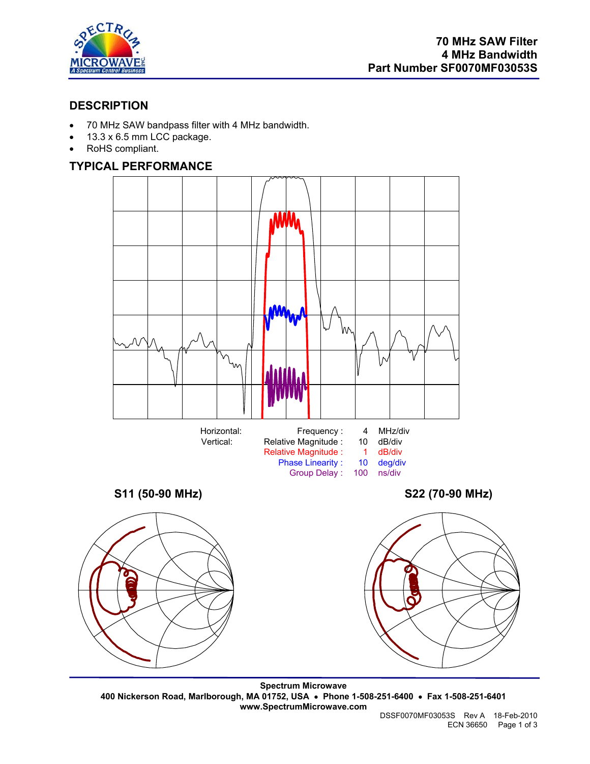

# **DESCRIPTION**

- 70 MHz SAW bandpass filter with 4 MHz bandwidth.
- 13.3 x 6.5 mm LCC package.
- RoHS compliant.

# **TYPICAL PERFORMANCE**



**Spectrum Microwave 400 Nickerson Road, Marlborough, MA 01752, USA** • **Phone 1-508-251-6400** • **Fax 1-508-251-6401 www.SpectrumMicrowave.com**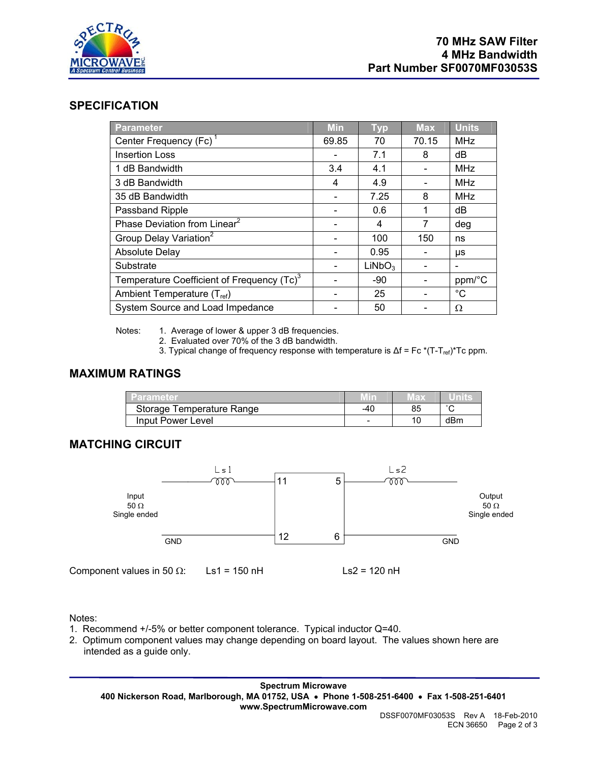

#### **SPECIFICATION**

| <b>Parameter</b>                                       | <b>Min</b> | <b>Typ</b>         | <b>Max</b> | <b>Units</b> |
|--------------------------------------------------------|------------|--------------------|------------|--------------|
| Center Frequency (Fc) <sup>1</sup>                     | 69.85      | 70                 | 70.15      | <b>MHz</b>   |
| <b>Insertion Loss</b>                                  |            | 7.1                | 8          | dB           |
| 1 dB Bandwidth                                         | 3.4        | 4.1                |            | <b>MHz</b>   |
| 3 dB Bandwidth                                         | 4          | 4.9                |            | <b>MHz</b>   |
| 35 dB Bandwidth                                        |            | 7.25               | 8          | <b>MHz</b>   |
| Passband Ripple                                        |            | 0.6                | 1          | dB           |
| Phase Deviation from Linear <sup>2</sup>               |            | 4                  | 7          | deg          |
| Group Delay Variation <sup>2</sup>                     |            | 100                | 150        | ns           |
| <b>Absolute Delay</b>                                  |            | 0.95               |            | μs           |
| Substrate                                              |            | LiNbO <sub>3</sub> |            |              |
| Temperature Coefficient of Frequency (Tc) <sup>3</sup> |            | $-90$              |            | ppm/°C       |
| Ambient Temperature (T <sub>ref</sub> )                |            | 25                 |            | $^{\circ}C$  |
| System Source and Load Impedance                       |            | 50                 |            | Ω            |

Notes: 1. Average of lower & upper 3 dB frequencies.

- 2. Evaluated over 70% of the 3 dB bandwidth.
- 3. Typical change of frequency response with temperature is  $\Delta f = Fc^* (T-T_{ref})^*Tc$  ppm.

## **MAXIMUM RATINGS**

| <b>Parameter</b>          |     |    |             |
|---------------------------|-----|----|-------------|
| Storage Temperature Range | -40 | 85 | $\sim$<br>ັ |
| Input Power Level         | -   | 10 | dBm         |

## **MATCHING CIRCUIT**



Notes:

- 1. Recommend +/-5% or better component tolerance. Typical inductor Q=40.
- 2. Optimum component values may change depending on board layout. The values shown here are intended as a guide only.

**Spectrum Microwave 400 Nickerson Road, Marlborough, MA 01752, USA** • **Phone 1-508-251-6400** • **Fax 1-508-251-6401 www.SpectrumMicrowave.com**